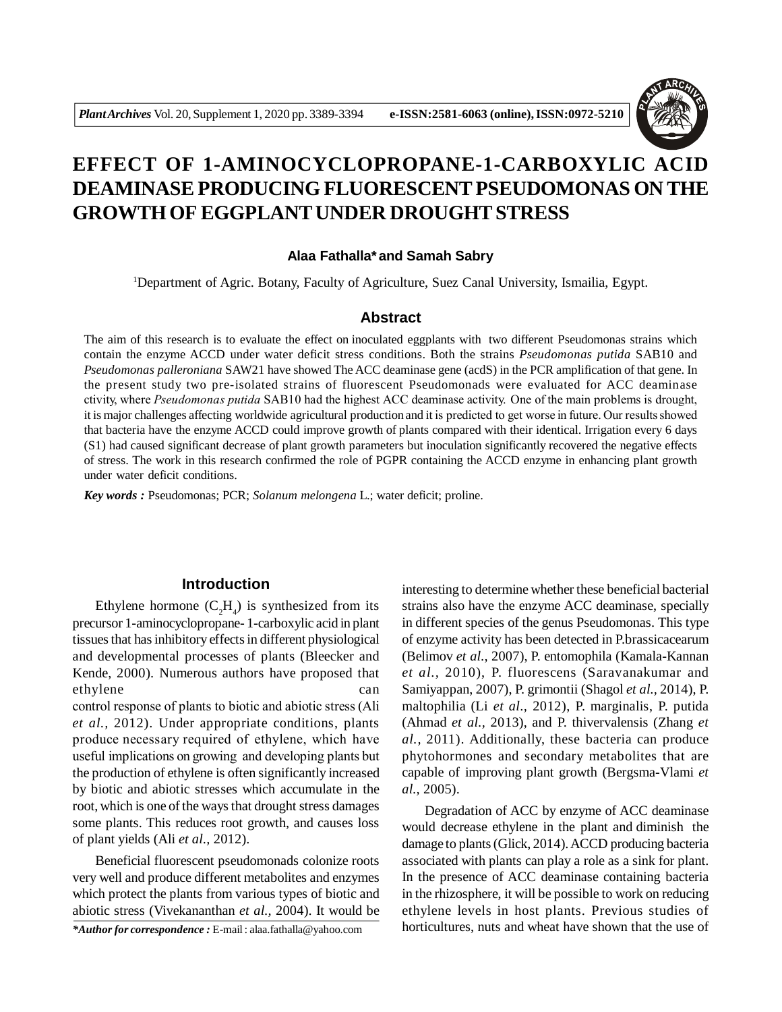

# **EFFECT OF 1-AMINOCYCLOPROPANE-1-CARBOXYLIC ACID DEAMINASE PRODUCING FLUORESCENT PSEUDOMONAS ON THE GROWTH OF EGGPLANT UNDER DROUGHT STRESS**

## **Alaa Fathalla\* and Samah Sabry**

<sup>1</sup>Department of Agric. Botany, Faculty of Agriculture, Suez Canal University, Ismailia, Egypt.

# **Abstract**

The aim of this research is to evaluate the effect on inoculated eggplants with two different Pseudomonas strains which contain the enzyme ACCD under water deficit stress conditions. Both the strains *Pseudomonas putida* SAB10 and *Pseudomonas palleroniana* SAW21 have showed The ACC deaminase gene (acdS) in the PCR amplification of that gene. In the present study two pre-isolated strains of fluorescent Pseudomonads were evaluated for ACC deaminase ctivity, where *Pseudomonas putida* SAB10 had the highest ACC deaminase activity. One of the main problems is drought, it is major challenges affecting worldwide agricultural production and it is predicted to get worse in future. Our results showed that bacteria have the enzyme ACCD could improve growth of plants compared with their identical. Irrigation every 6 days (S1) had caused significant decrease of plant growth parameters but inoculation significantly recovered the negative effects of stress. The work in this research confirmed the role of PGPR containing the ACCD enzyme in enhancing plant growth under water deficit conditions.

*Key words :* Pseudomonas; PCR; *Solanum melongena* L.; water deficit; proline.

# **Introduction**

Ethylene hormone  $(C_2H_4)$  is synthesized from its precursor 1-aminocyclopropane- 1-carboxylic acid in plant tissues that has inhibitory effects in different physiological and developmental processes of plants (Bleecker and Kende, 2000). Numerous authors have proposed that ethylene can can

control response of plants to biotic and abiotic stress (Ali *et al.,* 2012). Under appropriate conditions, plants produce necessary required of ethylene, which have useful implications on growing and developing plants but the production of ethylene is often significantly increased by biotic and abiotic stresses which accumulate in the root, which is one of the ways that drought stress damages some plants. This reduces root growth, and causes loss of plant yields (Ali *et al.,* 2012).

Beneficial fluorescent pseudomonads colonize roots very well and produce different metabolites and enzymes which protect the plants from various types of biotic and abiotic stress (Vivekananthan *et al.,* 2004). It would be

*\*Author for correspondence :* E-mail : alaa.fathalla@yahoo.com

interesting to determine whether these beneficial bacterial strains also have the enzyme ACC deaminase, specially in different species of the genus Pseudomonas. This type of enzyme activity has been detected in P.brassicacearum (Belimov *et al.,* 2007), P. entomophila (Kamala-Kannan *et al.,* 2010), P. fluorescens (Saravanakumar and Samiyappan, 2007), P. grimontii (Shagol *et al.,* 2014), P. maltophilia (Li *et al.,* 2012), P. marginalis, P. putida (Ahmad *et al.,* 2013), and P. thivervalensis (Zhang *et al.,* 2011). Additionally, these bacteria can produce phytohormones and secondary metabolites that are capable of improving plant growth (Bergsma-Vlami *et al.,* 2005).

Degradation of ACC by enzyme of ACC deaminase would decrease ethylene in the plant and diminish the damage to plants (Glick, 2014). ACCD producing bacteria associated with plants can play a role as a sink for plant. In the presence of ACC deaminase containing bacteria in the rhizosphere, it will be possible to work on reducing ethylene levels in host plants. Previous studies of horticultures, nuts and wheat have shown that the use of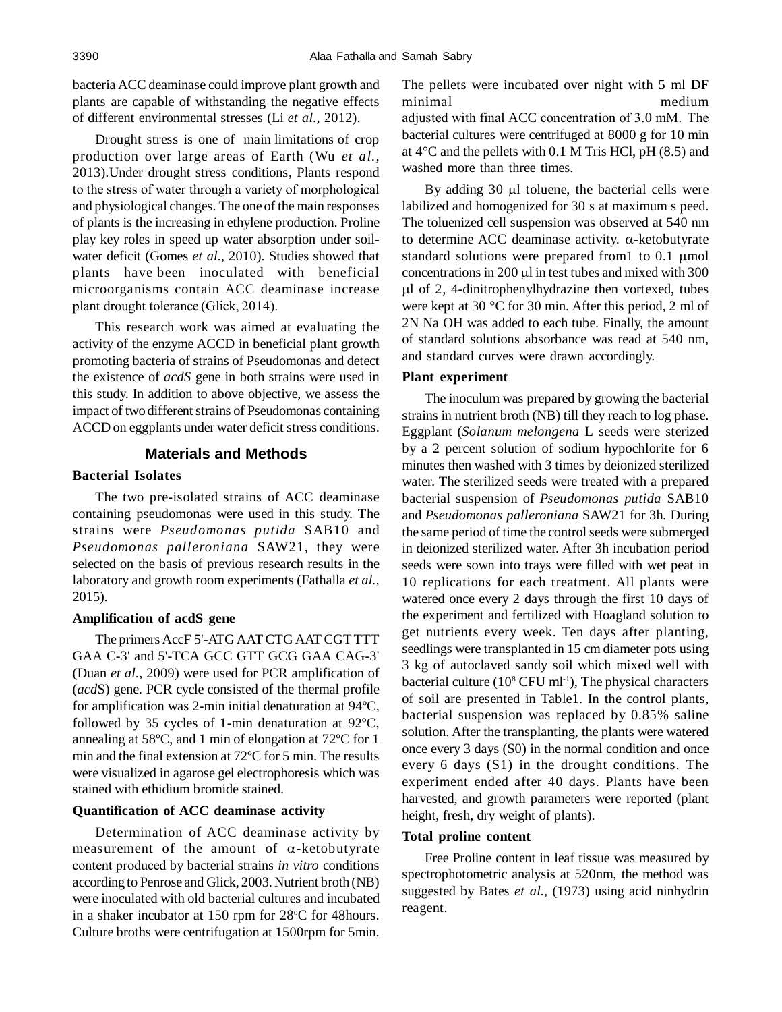bacteria ACC deaminase could improve plant growth and plants are capable of withstanding the negative effects of different environmental stresses (Li *et al.,* 2012).

Drought stress is one of main limitations of crop production over large areas of Earth (Wu *et al.,* 2013).Under drought stress conditions, Plants respond to the stress of water through a variety of morphological and physiological changes. The one of the main responses of plants is the increasing in ethylene production. Proline play key roles in speed up water absorption under soilwater deficit (Gomes *et al.,* 2010). Studies showed that plants have been inoculated with beneficial microorganisms contain ACC deaminase increase plant drought tolerance (Glick, 2014).

This research work was aimed at evaluating the activity of the enzyme ACCD in beneficial plant growth promoting bacteria of strains of Pseudomonas and detect the existence of *acdS* gene in both strains were used in this study. In addition to above objective, we assess the impact of two different strains of Pseudomonas containing ACCD on eggplants under water deficit stress conditions.

# **Materials and Methods**

# **Bacterial Isolates**

The two pre-isolated strains of ACC deaminase containing pseudomonas were used in this study. The strains were *Pseudomonas putida* SAB10 and *Pseudomonas palleroniana* SAW21, they were selected on the basis of previous research results in the laboratory and growth room experiments (Fathalla *et al.,* 2015).

# **Amplification of acdS gene**

The primers AccF 5'-ATG AAT CTG AAT CGT TTT GAA C-3' and 5'-TCA GCC GTT GCG GAA CAG-3' (Duan *et al.,* 2009) were used for PCR amplification of (*acd*S) gene. PCR cycle consisted of the thermal profile for amplification was 2-min initial denaturation at 94ºC, followed by 35 cycles of 1-min denaturation at 92ºC, annealing at 58ºC, and 1 min of elongation at 72ºC for 1 min and the final extension at 72ºC for 5 min. The results were visualized in agarose gel electrophoresis which was stained with ethidium bromide stained.

# **Quantification of ACC deaminase activity**

Determination of ACC deaminase activity by measurement of the amount of  $\alpha$ -ketobutyrate content produced by bacterial strains *in vitro* conditions according to Penrose and Glick, 2003.Nutrient broth (NB) were inoculated with old bacterial cultures and incubated in a shaker incubator at  $150$  rpm for  $28^{\circ}$ C for 48 hours. Culture broths were centrifugation at 1500rpm for 5min. The pellets were incubated over night with 5 ml DF minimal medium adjusted with final ACC concentration of 3.0 mM. The bacterial cultures were centrifuged at 8000 g for 10 min at  $4^{\circ}$ C and the pellets with 0.1 M Tris HCl, pH (8.5) and washed more than three times.

By adding  $30 \mu l$  toluene, the bacterial cells were labilized and homogenized for 30 s at maximum s peed. The toluenized cell suspension was observed at 540 nm to determine ACC deaminase activity.  $\alpha$ -ketobutyrate standard solutions were prepared from  $1$  to  $0.1 \mu$  mol concentrations in 200  $\mu$ l in test tubes and mixed with 300  $\mu$ l of 2, 4-dinitrophenylhydrazine then vortexed, tubes were kept at 30 °C for 30 min. After this period, 2 ml of 2N Na OH was added to each tube. Finally, the amount of standard solutions absorbance was read at 540 nm, and standard curves were drawn accordingly.

## **Plant experiment**

The inoculum was prepared by growing the bacterial strains in nutrient broth (NB) till they reach to log phase. Eggplant (*Solanum melongena* L seeds were sterized by a 2 percent solution of sodium hypochlorite for 6 minutes then washed with 3 times by deionized sterilized water. The sterilized seeds were treated with a prepared bacterial suspension of *Pseudomonas putida* SAB10 and *Pseudomonas palleroniana* SAW21 for 3h*.* During the same period of time the control seeds were submerged in deionized sterilized water. After 3h incubation period seeds were sown into trays were filled with wet peat in 10 replications for each treatment. All plants were watered once every 2 days through the first 10 days of the experiment and fertilized with Hoagland solution to get nutrients every week. Ten days after planting, seedlings were transplanted in 15 cm diameter pots using 3 kg of autoclaved sandy soil which mixed well with bacterial culture (10<sup>8</sup> CFU ml<sup>-1</sup>), The physical characters of soil are presented in Table1. In the control plants, bacterial suspension was replaced by 0.85% saline solution. After the transplanting, the plants were watered once every 3 days (S0) in the normal condition and once every 6 days (S1) in the drought conditions. The experiment ended after 40 days. Plants have been harvested, and growth parameters were reported (plant height, fresh, dry weight of plants).

# **Total proline content**

Free Proline content in leaf tissue was measured by spectrophotometric analysis at 520nm, the method was suggested by Bates *et al.,* (1973) using acid ninhydrin reagent.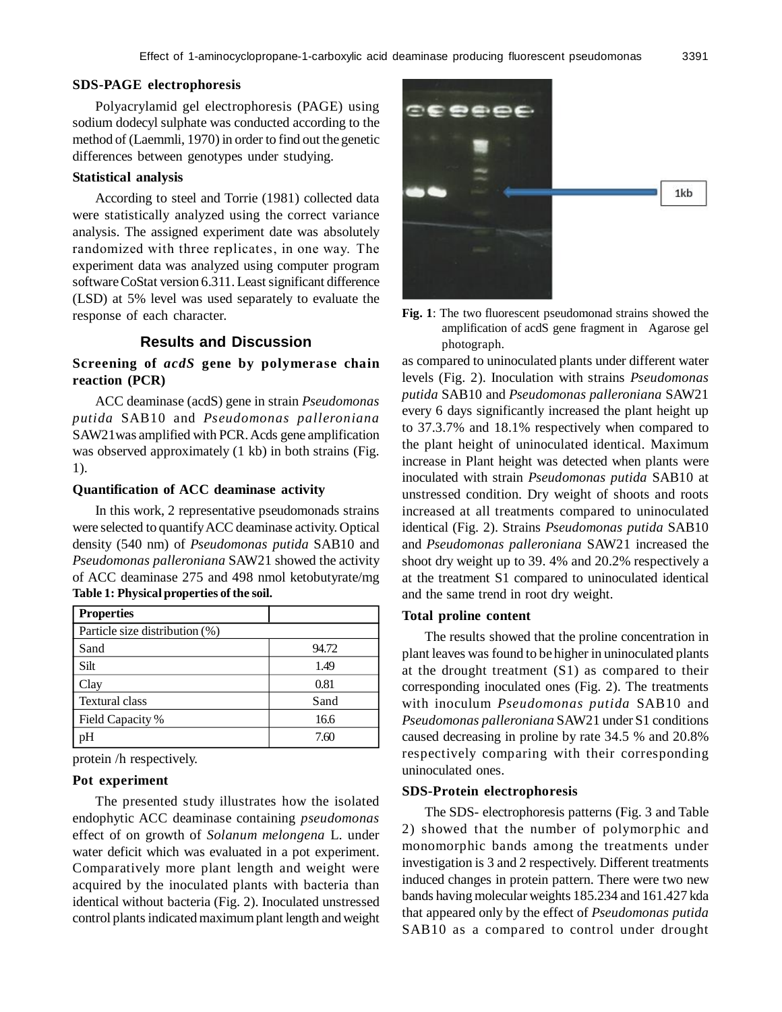## **SDS-PAGE electrophoresis**

Polyacrylamid gel electrophoresis (PAGE) using sodium dodecyl sulphate was conducted according to the method of (Laemmli, 1970) in order to find out the genetic differences between genotypes under studying.

#### **Statistical analysis**

According to steel and Torrie (1981) collected data were statistically analyzed using the correct variance analysis. The assigned experiment date was absolutely randomized with three replicates, in one way. The experiment data was analyzed using computer program software CoStat version 6.311. Least significant difference (LSD) at 5% level was used separately to evaluate the response of each character.

## **Results and Discussion**

# **Screening of** *acdS* **gene by polymerase chain reaction (PCR)**

ACC deaminase (acdS) gene in strain *Pseudomonas putida* SAB10 and *Pseudomonas palleroniana* SAW21was amplified with PCR. Acds gene amplification was observed approximately (1 kb) in both strains (Fig. 1).

#### **Quantification of ACC deaminase activity**

In this work, 2 representative pseudomonads strains were selected to quantify ACC deaminase activity. Optical density (540 nm) of *Pseudomonas putida* SAB10 and *Pseudomonas palleroniana* SAW21 showed the activity of ACC deaminase 275 and 498 nmol ketobutyrate/mg **Table 1: Physical properties of the soil.**

| <b>Properties</b>              |       |  |  |  |  |
|--------------------------------|-------|--|--|--|--|
| Particle size distribution (%) |       |  |  |  |  |
| Sand                           | 94.72 |  |  |  |  |
| Silt                           | 1.49  |  |  |  |  |
| Clay                           | 0.81  |  |  |  |  |
| <b>Textural class</b>          | Sand  |  |  |  |  |
| Field Capacity %               | 16.6  |  |  |  |  |
| H                              | 7.60  |  |  |  |  |

protein /h respectively.

### **Pot experiment**

The presented study illustrates how the isolated endophytic ACC deaminase containing *pseudomonas* effect of on growth of *Solanum melongena* L. under water deficit which was evaluated in a pot experiment. Comparatively more plant length and weight were acquired by the inoculated plants with bacteria than identical without bacteria (Fig. 2). Inoculated unstressed control plants indicated maximum plant length and weight



**Fig. 1**: The two fluorescent pseudomonad strains showed the amplification of acdS gene fragment in Agarose gel photograph.

as compared to uninoculated plants under different water levels (Fig. 2). Inoculation with strains *Pseudomonas putida* SAB10 and *Pseudomonas palleroniana* SAW21 every 6 days significantly increased the plant height up to 37.3.7% and 18.1% respectively when compared to the plant height of uninoculated identical. Maximum increase in Plant height was detected when plants were inoculated with strain *Pseudomonas putida* SAB10 at unstressed condition. Dry weight of shoots and roots increased at all treatments compared to uninoculated identical (Fig. 2). Strains *Pseudomonas putida* SAB10 and *Pseudomonas palleroniana* SAW21 increased the shoot dry weight up to 39. 4% and 20.2% respectively a at the treatment S1 compared to uninoculated identical and the same trend in root dry weight.

#### **Total proline content**

The results showed that the proline concentration in plant leaves was found to be higher in uninoculated plants at the drought treatment (S1) as compared to their corresponding inoculated ones (Fig. 2). The treatments with inoculum *Pseudomonas putida* SAB10 and *Pseudomonas palleroniana* SAW21 under S1 conditions caused decreasing in proline by rate 34.5 % and 20.8% respectively comparing with their corresponding uninoculated ones.

#### **SDS-Protein electrophoresis**

The SDS- electrophoresis patterns (Fig. 3 and Table 2) showed that the number of polymorphic and monomorphic bands among the treatments under investigation is 3 and 2 respectively. Different treatments induced changes in protein pattern. There were two new bands having molecular weights 185.234 and 161.427 kda that appeared only by the effect of *Pseudomonas putida* SAB10 as a compared to control under drought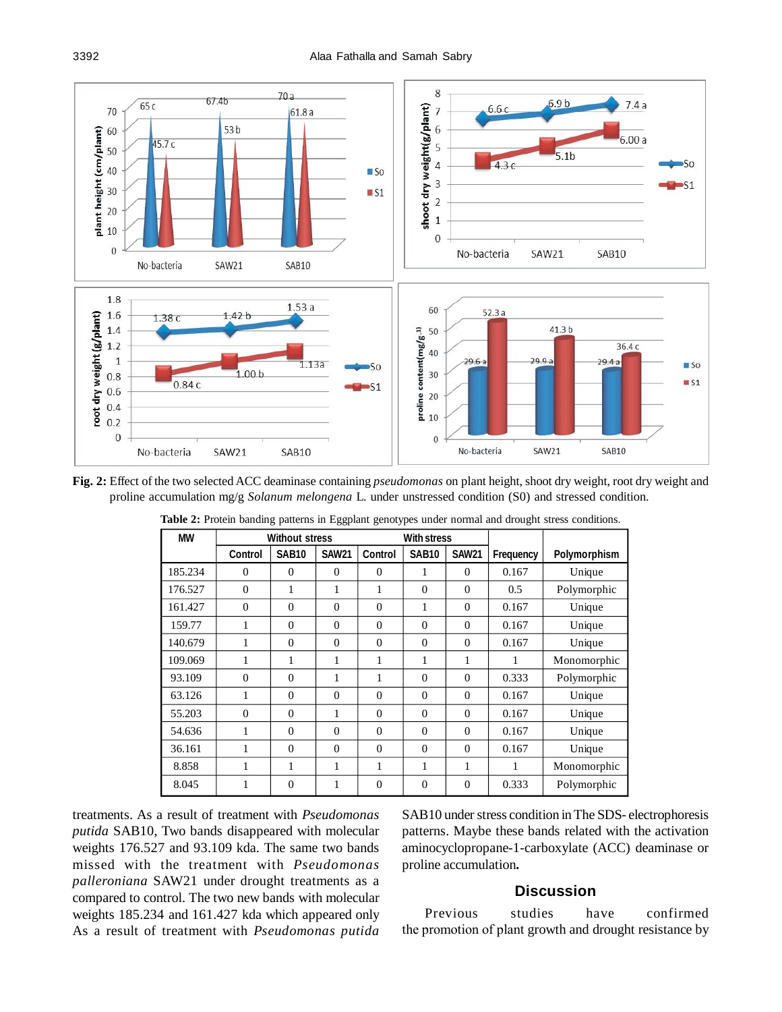

**Fig. 2:** Effect of the two selected ACC deaminase containing *pseudomonas* on plant height, shoot dry weight, root dry weight and proline accumulation mg/g *Solanum melongena* L. under unstressed condition (S0) and stressed condition.

| <b>MW</b> | <b>With stress</b><br><b>Without stress</b> |              |              |                |              |              |           |              |
|-----------|---------------------------------------------|--------------|--------------|----------------|--------------|--------------|-----------|--------------|
|           | <b>Control</b>                              | <b>SAB10</b> | <b>SAW21</b> | <b>Control</b> | <b>SAB10</b> | <b>SAW21</b> | Frequency | Polymorphism |
| 185.234   | $\Omega$                                    | $\Omega$     | $\Omega$     | $\Omega$       | 1            | $\Omega$     | 0.167     | Unique       |
| 176.527   | $\Omega$                                    | 1            | 1            | 1              | $\Omega$     | $\Omega$     | 0.5       | Polymorphic  |
| 161.427   | $\Omega$                                    | $\Omega$     | $\Omega$     | $\Omega$       | 1            | $\Omega$     | 0.167     | Unique       |
| 159.77    |                                             | $\Omega$     | $\Omega$     | $\Omega$       | $\Omega$     | $\Omega$     | 0.167     | Unique       |
| 140.679   | 1                                           | $\Omega$     | $\Omega$     | $\Omega$       | $\Omega$     | $\Omega$     | 0.167     | Unique       |
| 109.069   | 1                                           | 1            | 1            | 1              | 1            | 1            | 1         | Monomorphic  |
| 93.109    | $\Omega$                                    | $\Omega$     | 1            | 1              | $\Omega$     | $\Omega$     | 0.333     | Polymorphic  |
| 63.126    | 1                                           | $\Omega$     | $\Omega$     | $\Omega$       | $\Omega$     | $\Omega$     | 0.167     | Unique       |
| 55.203    | $\Omega$                                    | $\Omega$     | 1            | $\Omega$       | $\Omega$     | $\Omega$     | 0.167     | Unique       |
| 54.636    | 1                                           | $\Omega$     | $\Omega$     | $\Omega$       | $\Omega$     | $\Omega$     | 0.167     | Unique       |
| 36.161    | 1                                           | $\Omega$     | $\Omega$     | $\Omega$       | $\Omega$     | $\Omega$     | 0.167     | Unique       |
| 8.858     | 1                                           | 1            | 1            | 1              | 1            | 1            | 1         | Monomorphic  |
| 8.045     |                                             | $\Omega$     | 1            | $\Omega$       | $\Omega$     | $\Omega$     | 0.333     | Polymorphic  |

**Table 2:** Protein banding patterns in Eggplant genotypes under normal and drought stress conditions.

treatments. As a result of treatment with *Pseudomonas putida* SAB10, Two bands disappeared with molecular weights 176.527 and 93.109 kda. The same two bands missed with the treatment with *Pseudomonas palleroniana* SAW21 under drought treatments as a compared to control. The two new bands with molecular weights 185.234 and 161.427 kda which appeared only As a result of treatment with *Pseudomonas putida*

SAB10 under stress condition in The SDS- electrophoresis patterns. Maybe these bands related with the activation aminocyclopropane-1-carboxylate (ACC) deaminase or proline accumulation**.**

## **Discussion**

Previous studies have confirmed the promotion of plant growth and drought resistance by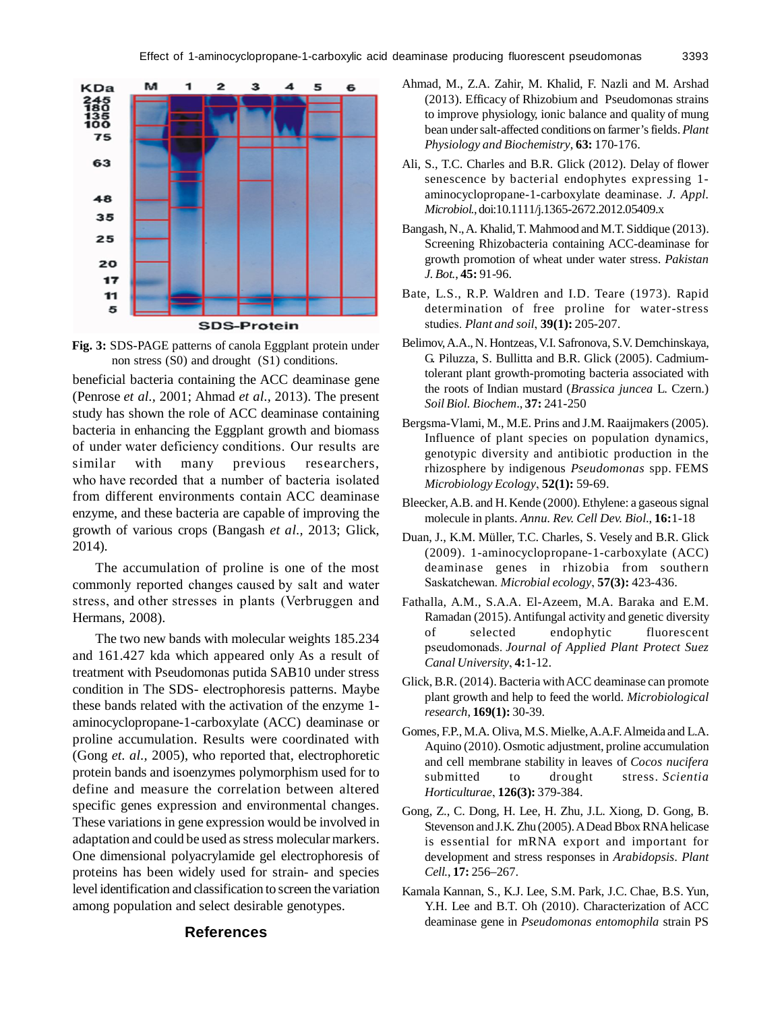

**Fig. 3:** SDS-PAGE patterns of canola Eggplant protein under non stress (S0) and drought (S1) conditions.

beneficial bacteria containing the ACC deaminase gene (Penrose *et al.,* 2001; Ahmad *et al.,* 2013). The present study has shown the role of ACC deaminase containing bacteria in enhancing the Eggplant growth and biomass of under water deficiency conditions. Our results are similar with many previous researchers, who have recorded that a number of bacteria isolated from different environments contain ACC deaminase enzyme, and these bacteria are capable of improving the growth of various crops (Bangash *et al.,* 2013; Glick, 2014).

The accumulation of proline is one of the most commonly reported changes caused by salt and water stress, and other stresses in plants (Verbruggen and Hermans, 2008).

The two new bands with molecular weights 185.234 and 161.427 kda which appeared only As a result of treatment with Pseudomonas putida SAB10 under stress condition in The SDS- electrophoresis patterns. Maybe these bands related with the activation of the enzyme 1 aminocyclopropane-1-carboxylate (ACC) deaminase or proline accumulation. Results were coordinated with (Gong *et. al.,* 2005), who reported that, electrophoretic protein bands and isoenzymes polymorphism used for to define and measure the correlation between altered specific genes expression and environmental changes. These variations in gene expression would be involved in adaptation and could be used as stress molecular markers. One dimensional polyacrylamide gel electrophoresis of proteins has been widely used for strain- and species level identification and classification to screen the variation among population and select desirable genotypes.

- Ahmad, M., Z.A. Zahir, M. Khalid, F. Nazli and M. Arshad (2013). Efficacy of Rhizobium and Pseudomonas strains to improve physiology, ionic balance and quality of mung bean under salt-affected conditions on farmer's fields. *Plant Physiology and Biochemistry*, **63:** 170-176.
- Ali, S., T.C. Charles and B.R. Glick (2012). Delay of flower senescence by bacterial endophytes expressing 1 aminocyclopropane-1-carboxylate deaminase. *J. Appl. Microbiol.*, doi:10.1111/j.1365-2672.2012.05409.x
- Bangash, N., A. Khalid, T. Mahmood and M.T. Siddique (2013). Screening Rhizobacteria containing ACC-deaminase for growth promotion of wheat under water stress. *Pakistan J. Bot.*, **45:** 91-96.
- Bate, L.S., R.P. Waldren and I.D. Teare (1973). Rapid determination of free proline for water-stress studies. *Plant and soil*, **39(1):** 205-207.
- Belimov, A.A., N. Hontzeas, V.I. Safronova, S.V. Demchinskaya, G. Piluzza, S. Bullitta and B.R. Glick (2005). Cadmiumtolerant plant growth-promoting bacteria associated with the roots of Indian mustard (*Brassica juncea* L. Czern.) *Soil Biol. Biochem*., **37:** 241-250
- Bergsma-Vlami, M., M.E. Prins and J.M. Raaijmakers (2005). Influence of plant species on population dynamics, genotypic diversity and antibiotic production in the rhizosphere by indigenous *Pseudomonas* spp. FEMS *Microbiology Ecology*, **52(1):** 59-69.
- Bleecker, A.B. and H. Kende (2000). Ethylene: a gaseous signal molecule in plants. *Annu. Rev. Cell Dev. Biol*., **16:**1-18
- Duan, J., K.M. Müller, T.C. Charles, S. Vesely and B.R. Glick (2009). 1-aminocyclopropane-1-carboxylate (ACC) deaminase genes in rhizobia from southern Saskatchewan. *Microbial ecology*, **57(3):** 423-436.
- Fathalla, A.M., S.A.A. El-Azeem, M.A. Baraka and E.M. Ramadan (2015). Antifungal activity and genetic diversity of selected endophytic fluorescent pseudomonads. *Journal of Applied Plant Protect Suez Canal University*, **4:**1-12.
- Glick, B.R. (2014). Bacteria with ACC deaminase can promote plant growth and help to feed the world. *Microbiological research*, **169(1):** 30-39.
- Gomes, F.P., M.A. Oliva, M.S. Mielke, A.A.F. Almeida and L.A. Aquino (2010). Osmotic adjustment, proline accumulation and cell membrane stability in leaves of *Cocos nucifera* submitted to drought stress. *Scientia Horticulturae*, **126(3):** 379-384.
- Gong, Z., C. Dong, H. Lee, H. Zhu, J.L. Xiong, D. Gong, B. Stevenson and J.K. Zhu (2005). A Dead Bbox RNA helicase is essential for mRNA export and important for development and stress responses in *Arabidopsis*. *Plant Cell.*, **17:** 256–267.
- Kamala Kannan, S., K.J. Lee, S.M. Park, J.C. Chae, B.S. Yun, Y.H. Lee and B.T. Oh (2010). Characterization of ACC deaminase gene in *Pseudomonas entomophila* strain PS

# **References**